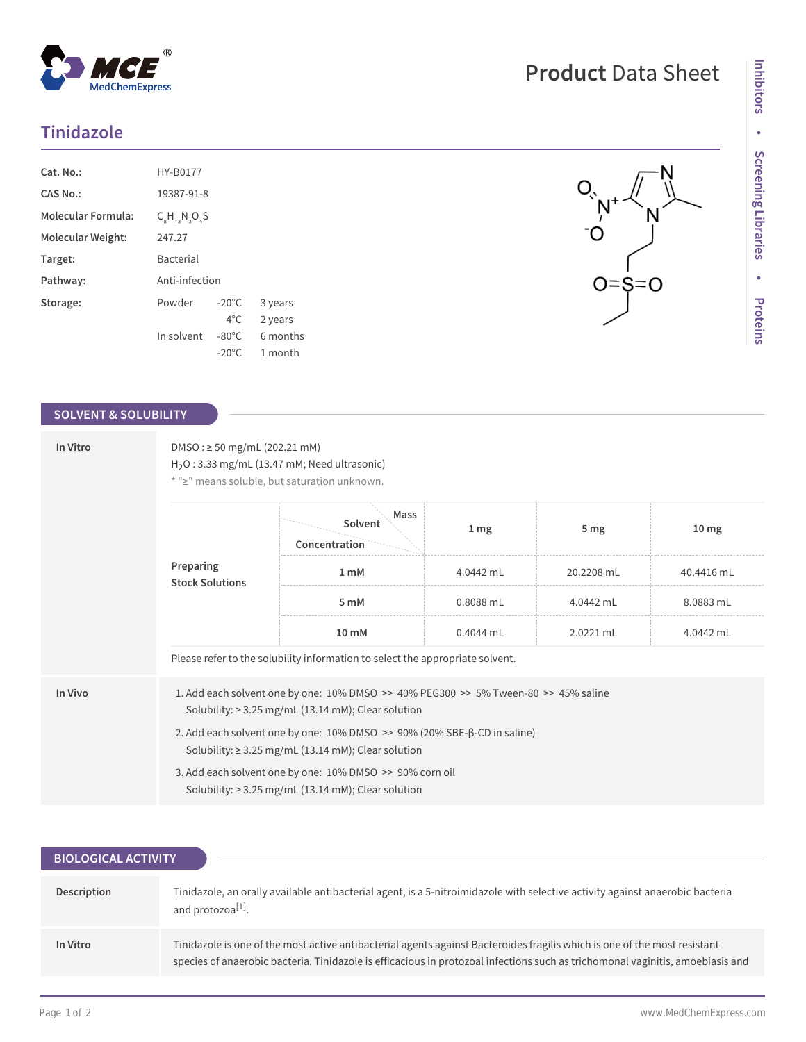# **Tinidazole**

| Cat. No.:                 | HY-B0177                 |                 |          |  |
|---------------------------|--------------------------|-----------------|----------|--|
| CAS No.:                  | 19387-91-8               |                 |          |  |
| <b>Molecular Formula:</b> | $C_{8}H_{13}N_{3}O_{4}S$ |                 |          |  |
| Molecular Weight:         | 247.27                   |                 |          |  |
| Target:                   | <b>Bacterial</b>         |                 |          |  |
| Pathway:                  | Anti-infection           |                 |          |  |
| Storage:                  | Powder                   | $-20^{\circ}$ C | 3 years  |  |
|                           |                          | $4^{\circ}$ C.  | 2 years  |  |
|                           | In solvent               | $-80^{\circ}$ C | 6 months |  |
|                           |                          | $-20^{\circ}$ C | 1 month  |  |

# **SOLVENT & SOLUBILITY**

| In Vitro | $DMSO: \geq 50$ mg/mL (202.21 mM)<br>$H2O$ : 3.33 mg/mL (13.47 mM; Need ultrasonic)<br>* ">" means soluble, but saturation unknown.  |                                                                                                                                                 |           |                 |                  |  |  |
|----------|--------------------------------------------------------------------------------------------------------------------------------------|-------------------------------------------------------------------------------------------------------------------------------------------------|-----------|-----------------|------------------|--|--|
|          | Preparing<br><b>Stock Solutions</b>                                                                                                  | Mass<br>Solvent<br>Concentration                                                                                                                | 1 mg      | 5 <sub>mg</sub> | 10 <sub>mg</sub> |  |  |
|          |                                                                                                                                      | 1 mM                                                                                                                                            | 4.0442 mL | 20.2208 mL      | 40.4416 mL       |  |  |
|          |                                                                                                                                      | 5 mM                                                                                                                                            | 0.8088 mL | 4.0442 mL       | 8.0883 mL        |  |  |
|          |                                                                                                                                      | 10 mM                                                                                                                                           | 0.4044 mL | 2.0221 mL       | 4.0442 mL        |  |  |
|          |                                                                                                                                      | Please refer to the solubility information to select the appropriate solvent.                                                                   |           |                 |                  |  |  |
| In Vivo  |                                                                                                                                      | 1. Add each solvent one by one: 10% DMSO >> 40% PEG300 >> 5% Tween-80 >> 45% saline<br>Solubility: $\geq$ 3.25 mg/mL (13.14 mM); Clear solution |           |                 |                  |  |  |
|          | 2. Add each solvent one by one: 10% DMSO >> 90% (20% SBE-β-CD in saline)<br>Solubility: $\geq$ 3.25 mg/mL (13.14 mM); Clear solution |                                                                                                                                                 |           |                 |                  |  |  |
|          | 3. Add each solvent one by one: 10% DMSO >> 90% corn oil<br>Solubility: $\geq$ 3.25 mg/mL (13.14 mM); Clear solution                 |                                                                                                                                                 |           |                 |                  |  |  |

| <b>BIOLOGICAL ACTIVITY</b> |                                                                                                                                                                                                                                                             |  |  |  |  |
|----------------------------|-------------------------------------------------------------------------------------------------------------------------------------------------------------------------------------------------------------------------------------------------------------|--|--|--|--|
|                            |                                                                                                                                                                                                                                                             |  |  |  |  |
| Description                | Tinidazole, an orally available antibacterial agent, is a 5-nitroimidazole with selective activity against anaerobic bacteria<br>and protozoa <sup>[1]</sup> .                                                                                              |  |  |  |  |
| In Vitro                   | Tinidazole is one of the most active antibacterial agents against Bacteroides fragilis which is one of the most resistant<br>species of anaerobic bacteria. Tinidazole is efficacious in protozoal infections such as trichomonal vaginitis, amoebiasis and |  |  |  |  |